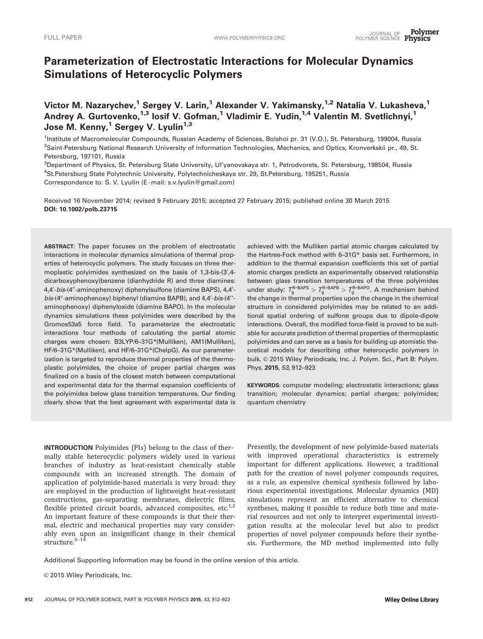# Parameterization of Electrostatic Interactions for Molecular Dynamics Simulations of Heterocyclic Polymers

Victor M. Nazarychev,<sup>1</sup> Sergey V. Larin,<sup>1</sup> Alexander V. Yakimansky,<sup>1,2</sup> Natalia V. Lukasheva,<sup>1</sup> Andrey A. Gurtovenko,<sup>1,3</sup> Iosif V. Gofman,<sup>1</sup> Vladimir E. Yudin,<sup>1,4</sup> Valentin M. Svetlichnyi,<sup>1</sup> Jose M. Kenny,<sup>1</sup> Sergey V. Lyulin<sup>1,3</sup>

<sup>1</sup>Institute of Macromolecular Compounds, Russian Academy of Sciences, Bolshoi pr. 31 (V.O.), St. Petersburg, 199004, Russia 2 Saint-Petersburg National Research University of Information Technologies, Mechanics, and Optics, Kronverkskii pr., 49, St. Petersburg, 197101, Russia

<sup>3</sup>Department of Physics, St. Petersburg State University, Ul'yanovskaya str. 1, Petrodvorets, St. Petersburg, 198504, Russia 4 St.Petersburg State Polytechnic University, Polytechnicheskaya str. 29, St.Petersburg, 195251, Russia Correspondence to: S. V. Lyulin (E -mail: s.v.lyulin@gmail.com)

Received 16 November 2014; revised 9 February 2015; accepted 27 February 2015; published online 30 March 2015 DOI: 10.1002/polb.23715

ABSTRACT: The paper focuses on the problem of electrostatic interactions in molecular dynamics simulations of thermal properties of heterocyclic polymers. The study focuses on three thermoplastic polyimides synthesized on the basis of 1,3-bis-(3',4dicarboxyphenoxy)benzene (dianhydride R) and three diamines: 4,4'-bis-(4"-aminophenoxy) diphenylsulfone (diamine BAPS), 4,4'bis-(4"-aminophenoxy) biphenyl (diamine BAPB), and 4,4'-bis-(4"aminophenoxy) diphenyloxide (diamine BAPO). In the molecular dynamics simulations these polyimides were described by the Gromos53a5 force field. To parameterize the electrostatic interactions four methods of calculating the partial atomic charges were chosen: B3LYP/6–31G\*(Mulliken), AM1(Mulliken), HF/6–31G\*(Mulliken), and HF/6–31G\*(ChelpG). As our parameterization is targeted to reproduce thermal properties of the thermoplastic polyimides, the choice of proper partial charges was finalized on a basis of the closest match between computational and experimental data for the thermal expansion coefficients of the polyimides below glass transition temperatures. Our finding clearly show that the best agreement with experimental data is

achieved with the Mulliken partial atomic charges calculated by the Hartree-Fock method with 6–31G\* basis set. Furthermore, in addition to the thermal expansion coefficients this set of partial atomic charges predicts an experimentally observed relationship between glass transition temperatures of the three polyimides under study:  $T_q^{R-BAPS} > T_q^{R-BAPB} > T_q^{R-BAPO}$ . A mechanism behind the change in thermal properties upon the change in the chemical structure in considered polyimides may be related to an additional spatial ordering of sulfone groups due to dipole-dipole interactions. Overall, the modified force-field is proved to be suitable for accurate prediction of thermal properties of thermoplastic polyimides and can serve as a basis for building up atomistic theoretical models for describing other heterocyclic polymers in bulk. © 2015 Wiley Periodicals, Inc. J. Polym. Sci., Part B: Polym. Phys. 2015, 53, 912–923

KEYWORDS: computer modeling; electrostatic interactions; glass transition; molecular dynamics; partial charges; polyimides; quantum chemistry

INTRODUCTION Polyimides (PIs) belong to the class of thermally stable heterocyclic polymers widely used in various branches of industry as heat-resistant chemically stable compounds with an increased strength. The domain of application of polyimide-based materials is very broad: they are employed in the production of lightweight heat-resistant constructions, gas-separating membranes, dielectric films, flexible printed circuit boards, advanced composites, etc. $1,2$ An important feature of these compounds is that their thermal, electric and mechanical properties may vary considerably even upon an insignificant change in their chemical structure. $3-14$ 

Presently, the development of new polyimide-based materials with improved operational characteristics is extremely important for different applications. However, a traditional path for the creation of novel polymer compounds requires, as a rule, an expensive chemical synthesis followed by laborious experimental investigations. Molecular dynamics (MD) simulations represent an efficient alternative to chemical syntheses, making it possible to reduce both time and material resources and not only to interpret experimental investigation results at the molecular level but also to predict properties of novel polymer compounds before their synthesis. Furthermore, the MD method implemented into fully

Additional Supporting Information may be found in the online version of this article.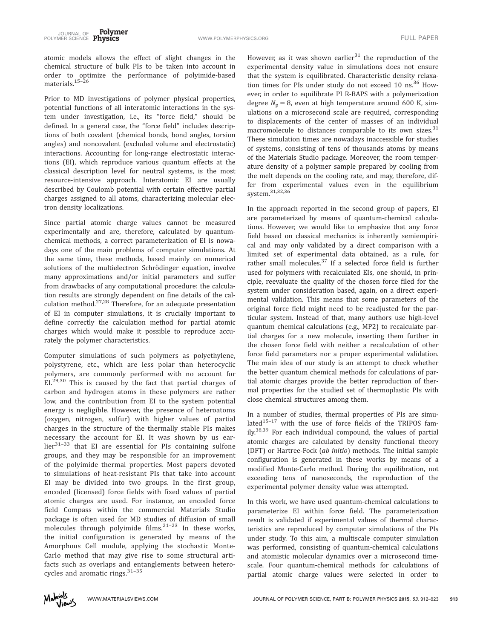atomic models allows the effect of slight changes in the chemical structure of bulk PIs to be taken into account in order to optimize the performance of polyimide-based materials.<sup>15-26</sup>

Prior to MD investigations of polymer physical properties, potential functions of all interatomic interactions in the system under investigation, i.e., its "force field," should be defined. In a general case, the "force field" includes descriptions of both covalent (chemical bonds, bond angles, torsion angles) and noncovalent (excluded volume and electrostatic) interactions. Accounting for long-range electrostatic interactions (EI), which reproduce various quantum effects at the classical description level for neutral systems, is the most resource-intensive approach. Interatomic EI are usually described by Coulomb potential with certain effective partial charges assigned to all atoms, characterizing molecular electron density localizations.

Since partial atomic charge values cannot be measured experimentally and are, therefore, calculated by quantumchemical methods, a correct parameterization of EI is nowadays one of the main problems of computer simulations. At the same time, these methods, based mainly on numerical solutions of the multielectron Schrödinger equation, involve many approximations and/or initial parameters and suffer from drawbacks of any computational procedure: the calculation results are strongly dependent on fine details of the calculation method.27,28 Therefore, for an adequate presentation of EI in computer simulations, it is crucially important to define correctly the calculation method for partial atomic charges which would make it possible to reproduce accurately the polymer characteristics.

Computer simulations of such polymers as polyethylene, polystyrene, etc., which are less polar than heterocyclic polymers, are commonly performed with no account for EI.<sup>29,30</sup> This is caused by the fact that partial charges of carbon and hydrogen atoms in these polymers are rather low, and the contribution from EI to the system potential energy is negligible. However, the presence of heteroatoms (oxygen, nitrogen, sulfur) with higher values of partial charges in the structure of the thermally stable PIs makes necessary the account for EI. It was shown by us ear $lier<sup>31-33</sup>$  that EI are essential for PIs containing sulfone groups, and they may be responsible for an improvement of the polyimide thermal properties. Most papers devoted to simulations of heat-resistant PIs that take into account EI may be divided into two groups. In the first group, encoded (licensed) force fields with fixed values of partial atomic charges are used. For instance, an encoded force field Compass within the commercial Materials Studio package is often used for MD studies of diffusion of small molecules through polyimide films. $21-23$  In these works, the initial configuration is generated by means of the Amorphous Cell module, applying the stochastic Monte-Carlo method that may give rise to some structural artifacts such as overlaps and entanglements between heterocycles and aromatic rings.<sup>31-35</sup>

However, as it was shown earlier $31$  the reproduction of the experimental density value in simulations does not ensure that the system is equilibrated. Characteristic density relaxation times for PIs under study do not exceed 10 ns.<sup>36</sup> However, in order to equilibrate PI R-BAPS with a polymerization degree  $N_p = 8$ , even at high temperature around 600 K, simulations on a microsecond scale are required, corresponding to displacements of the center of masses of an individual macromolecule to distances comparable to its own sizes. $31$ These simulation times are nowadays inaccessible for studies of systems, consisting of tens of thousands atoms by means of the Materials Studio package. Moreover, the room temperature density of a polymer sample prepared by cooling from the melt depends on the cooling rate, and may, therefore, differ from experimental values even in the equilibrium system.31,32,36

In the approach reported in the second group of papers, EI are parameterized by means of quantum-chemical calculations. However, we would like to emphasize that any force field based on classical mechanics is inherently semiempirical and may only validated by a direct comparison with a limited set of experimental data obtained, as a rule, for rather small molecules.<sup>37</sup> If a selected force field is further used for polymers with recalculated EIs, one should, in principle, reevaluate the quality of the chosen force filed for the system under consideration based, again, on a direct experimental validation. This means that some parameters of the original force field might need to be readjusted for the particular system. Instead of that, many authors use high-level quantum chemical calculations (e.g., MP2) to recalculate partial charges for a new molecule, inserting them further in the chosen force field with neither a recalculation of other force field parameters nor a proper experimental validation. The main idea of our study is an attempt to check whether the better quantum chemical methods for calculations of partial atomic charges provide the better reproduction of thermal properties for the studied set of thermoplastic PIs with close chemical structures among them.

In a number of studies, thermal properties of PIs are simulated $15-17$  with the use of force fields of the TRIPOS fam $ily.<sup>38,39</sup>$  For each individual compound, the values of partial atomic charges are calculated by density functional theory (DFT) or Hartree-Fock (ab initio) methods. The initial sample configuration is generated in these works by means of a modified Monte-Carlo method. During the equilibration, not exceeding tens of nanoseconds, the reproduction of the experimental polymer density value was attempted.

In this work, we have used quantum-chemical calculations to parameterize EI within force field. The parameterization result is validated if experimental values of thermal characteristics are reproduced by computer simulations of the PIs under study. To this aim, a multiscale computer simulation was performed, consisting of quantum-chemical calculations and atomistic molecular dynamics over a microsecond timescale. Four quantum-chemical methods for calculations of partial atomic charge values were selected in order to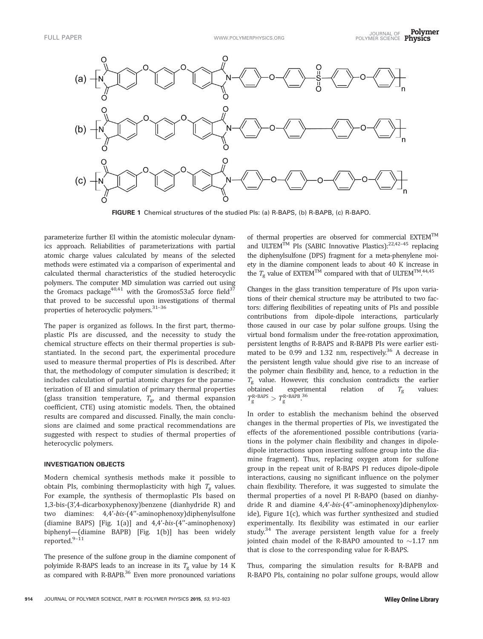

FIGURE 1 Chemical structures of the studied PIs: (a) R-BAPS, (b) R-BAPB, (c) R-BAPO.

parameterize further EI within the atomistic molecular dynamics approach. Reliabilities of parameterizations with partial atomic charge values calculated by means of the selected methods were estimated via a comparison of experimental and calculated thermal characteristics of the studied heterocyclic polymers. The computer MD simulation was carried out using the Gromacs package<sup>40,41</sup> with the Gromos53a5 force field<sup>37</sup> that proved to be successful upon investigations of thermal properties of heterocyclic polymers.<sup>31-36</sup>

The paper is organized as follows. In the first part, thermoplastic PIs are discussed, and the necessity to study the chemical structure effects on their thermal properties is substantiated. In the second part, the experimental procedure used to measure thermal properties of PIs is described. After that, the methodology of computer simulation is described; it includes calculation of partial atomic charges for the parameterization of EI and simulation of primary thermal properties (glass transition temperature,  $T_{\rm g}$ , and thermal expansion coefficient, CTE) using atomistic models. Then, the obtained results are compared and discussed. Finally, the main conclusions are claimed and some practical recommendations are suggested with respect to studies of thermal properties of heterocyclic polymers.

# INVESTIGATION OBJECTS

Modern chemical synthesis methods make it possible to obtain PIs, combining thermoplasticity with high  $T_g$  values. For example, the synthesis of thermoplastic PIs based on 1,3-bis-(3',4-dicarboxyphenoxy)benzene (dianhydride R) and two diamines: 4,4'-bis-(4''-aminophenoxy)diphenylsulfone (diamine BAPS) [Fig. 1(a)] and 4,4'-bis-(4''-aminophenoxy) biphenyl—(diamine BAPB) [Fig. 1(b)] has been widely reported.9–11

The presence of the sulfone group in the diamine component of polyimide R-BAPS leads to an increase in its  $T_g$  value by 14 K as compared with R-BAPB.<sup>36</sup> Even more pronounced variations of thermal properties are observed for commercial EXTEMTM and ULTEM<sup>TM</sup> PIs (SABIC Innovative Plastics):<sup>22,42-45</sup> replacing the diphenylsulfone (DPS) fragment for a meta-phenylene moiety in the diamine component leads to about 40 K increase in the  $T_{\rm g}$  value of  ${\rm EXTEM}^{\rm TM}$  compared with that of ULTEM $^{\rm TM}$ .  $^{44,45}$ 

Changes in the glass transition temperature of PIs upon variations of their chemical structure may be attributed to two factors: differing flexibilities of repeating units of PIs and possible contributions from dipole-dipole interactions, particularly those caused in our case by polar sulfone groups. Using the virtual bond formalism under the free-rotation approximation, persistent lengths of R-BAPS and R-BAPB PIs were earlier estimated to be 0.99 and 1.32 nm, respectively.<sup>36</sup> A decrease in the persistent length value should give rise to an increase of the polymer chain flexibility and, hence, to a reduction in the  $T_g$  value. However, this conclusion contradicts the earlier obtained experimental relation of  $T_g$  values:  $T_{\rm g}^{\rm R\text{-}BAPS} > T_{\rm g}^{\rm R\text{-}BAPS}.$ 

In order to establish the mechanism behind the observed changes in the thermal properties of PIs, we investigated the effects of the aforementioned possible contributions (variations in the polymer chain flexibility and changes in dipoledipole interactions upon inserting sulfone group into the diamine fragment). Thus, replacing oxygen atom for sulfone group in the repeat unit of R-BAPS PI reduces dipole-dipole interactions, causing no significant influence on the polymer chain flexibility. Therefore, it was suggested to simulate the thermal properties of a novel PI R-BAPO (based on dianhydride R and diamine 4,4'-bis-(4''-aminophenoxy)diphenyloxide), Figure 1(c), which was further synthesized and studied experimentally. Its flexibility was estimated in our earlier study.<sup>34</sup> The average persistent length value for a freely jointed chain model of the R-BAPO amounted to  ${\sim}1.17$  nm that is close to the corresponding value for R-BAPS.

Thus, comparing the simulation results for R-BAPB and R-BAPO PIs, containing no polar sulfone groups, would allow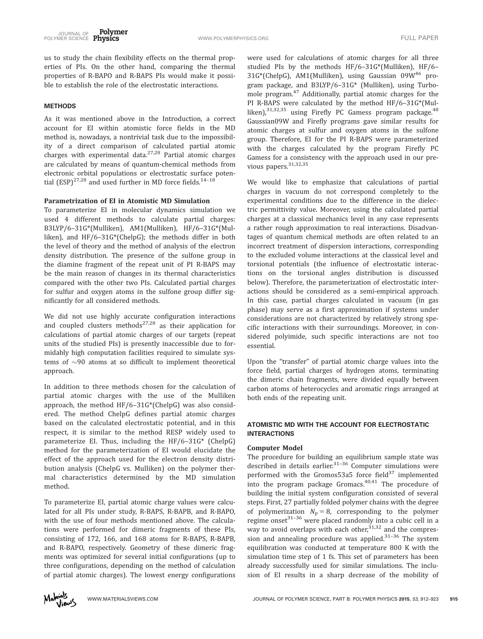us to study the chain flexibility effects on the thermal properties of PIs. On the other hand, comparing the thermal properties of R-BAPO and R-BAPS PIs would make it possible to establish the role of the electrostatic interactions.

## METHODS

As it was mentioned above in the Introduction, a correct account for EI within atomistic force fields in the MD method is, nowadays, a nontrivial task due to the impossibility of a direct comparison of calculated partial atomic charges with experimental data.27,28 Partial atomic charges are calculated by means of quantum-chemical methods from electronic orbital populations or electrostatic surface potential  $(ESP)^{27,28}$  and used further in MD force fields.<sup>14-18</sup>

# Parametrization of EI in Atomistic MD Simulation

To parameterize EI in molecular dynamics simulation we used 4 different methods to calculate partial charges: B3LYP/6–31G\*(Mulliken), AM1(Mulliken), HF/6–31G\*(Mulliken), and HF/6–31G\*(ChelpG); the methods differ in both the level of theory and the method of analysis of the electron density distribution. The presence of the sulfone group in the diamine fragment of the repeat unit of PI R-BAPS may be the main reason of changes in its thermal characteristics compared with the other two PIs. Calculated partial charges for sulfur and oxygen atoms in the sulfone group differ significantly for all considered methods.

We did not use highly accurate configuration interactions and coupled clusters methods<sup>27,28</sup> as their application for calculations of partial atomic charges of our targets (repeat units of the studied PIs) is presently inaccessible due to formidably high computation facilities required to simulate systems of  $\sim$ 90 atoms at so difficult to implement theoretical approach.

In addition to three methods chosen for the calculation of partial atomic charges with the use of the Mulliken approach, the method HF/6–31G\*(ChelpG) was also considered. The method ChelpG defines partial atomic charges based on the calculated electrostatic potential, and in this respect, it is similar to the method RESP widely used to parameterize EI. Thus, including the HF/6–31G\* (ChelpG) method for the parameterization of EI would elucidate the effect of the approach used for the electron density distribution analysis (ChelpG vs. Mulliken) on the polymer thermal characteristics determined by the MD simulation method.

To parameterize EI, partial atomic charge values were calculated for all PIs under study, R-BAPS, R-BAPB, and R-BAPO, with the use of four methods mentioned above. The calculations were performed for dimeric fragments of these PIs, consisting of 172, 166, and 168 atoms for R-BAPS, R-BAPB, and R-BAPO, respectively. Geometry of these dimeric fragments was optimized for several initial configurations (up to three configurations, depending on the method of calculation of partial atomic charges). The lowest energy configurations

were used for calculations of atomic charges for all three studied PIs by the methods HF/6–31G\*(Mulliken), HF/6– 31G\*(ChelpG), AM1(Mulliken), using Gaussian 09W46 program package, and B3LYP/6–31G\* (Mulliken), using Turbomole program.<sup>47</sup> Additionally, partial atomic charges for the PI R-BAPS were calculated by the method HF/6–31G\*(Mulliken), 31,32,35 using Firefly PC Gamess program package. <sup>48</sup> Gaussian09W and Firefly programs gave similar results for atomic charges at sulfur and oxygen atoms in the sulfone group. Therefore, EI for the PI R-BAPS were parameterized with the charges calculated by the program Firefly PC Gamess for a consistency with the approach used in our previous papers.<sup>31,32,35</sup>

We would like to emphasize that calculations of partial charges in vacuum do not correspond completely to the experimental conditions due to the difference in the dielectric permittivity value. Moreover, using the calculated partial charges at a classical mechanics level in any case represents a rather rough approximation to real interactions. Disadvantages of quantum chemical methods are often related to an incorrect treatment of dispersion interactions, corresponding to the excluded volume interactions at the classical level and torsional potentials (the influence of electrostatic interactions on the torsional angles distribution is discussed below). Therefore, the parameterization of electrostatic interactions should be considered as a semi-empirical approach. In this case, partial charges calculated in vacuum (in gas phase) may serve as a first approximation if systems under considerations are not characterized by relatively strong specific interactions with their surroundings. Moreover, in considered polyimide, such specific interactions are not too essential.

Upon the "transfer" of partial atomic charge values into the force field, partial charges of hydrogen atoms, terminating the dimeric chain fragments, were divided equally between carbon atoms of heterocycles and aromatic rings arranged at both ends of the repeating unit.

# ATOMISTIC MD WITH THE ACCOUNT FOR ELECTROSTATIC INTERACTIONS

### Computer Model

The procedure for building an equilibrium sample state was described in details earlier. $31-36$  Computer simulations were performed with the Gromos53a5 force field $37$  implemented into the program package Gromacs. $40,41$  The procedure of building the initial system configuration consisted of several steps. First, 27 partially folded polymer chains with the degree of polymerization  $N_p = 8$ , corresponding to the polymer regime onset<sup>31–36</sup> were placed randomly into a cubic cell in a way to avoid overlaps with each other,  $31,32$  and the compression and annealing procedure was applied. $31-36$  The system equilibration was conducted at temperature 800 K with the simulation time step of 1 fs. This set of parameters has been already successfully used for similar simulations. The inclusion of EI results in a sharp decrease of the mobility of

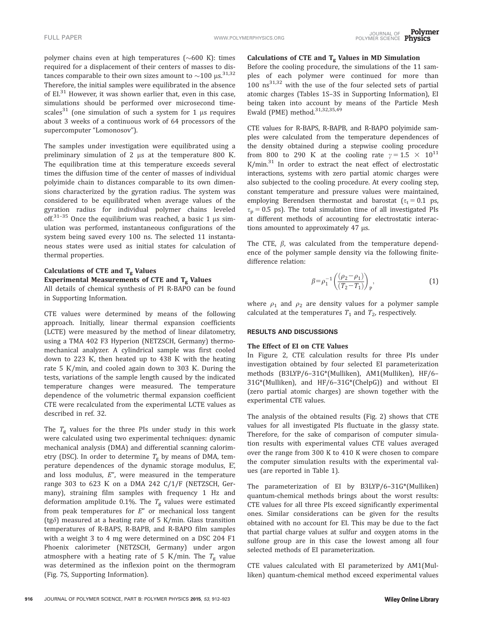polymer chains even at high temperatures ( $\sim$ 600 K): times required for a displacement of their centers of masses to distances comparable to their own sizes amount to  ${\sim}100$  µs. $^{31,32}$ Therefore, the initial samples were equilibrated in the absence of  $EI^{31}$  However, it was shown earlier that, even in this case, simulations should be performed over microsecond timescales<sup>31</sup> (one simulation of such a system for 1  $\mu$ s requires about 3 weeks of a continuous work of 64 processors of the supercomputer "Lomonosov").

The samples under investigation were equilibrated using a preliminary simulation of 2  $\mu$ s at the temperature 800 K. The equilibration time at this temperature exceeds several times the diffusion time of the center of masses of individual polyimide chain to distances comparable to its own dimensions characterized by the gyration radius. The system was considered to be equilibrated when average values of the gyration radius for individual polymer chains leveled off. $31-35$  Once the equilibrium was reached, a basic 1 µs simulation was performed, instantaneous configurations of the system being saved every 100 ns. The selected 11 instantaneous states were used as initial states for calculation of thermal properties.

# Calculations of CTE and  $T_g$  Values Experimental Measurements of CTE and  $T_g$  Values

All details of chemical synthesis of PI R-BAPO can be found in Supporting Information.

CTE values were determined by means of the following approach. Initially, linear thermal expansion coefficients (LCTE) were measured by the method of linear dilatometry, using a TMA 402 F3 Hyperion (NETZSCH, Germany) thermomechanical analyzer. A cylindrical sample was first cooled down to 223 R, then heated up to 438 R with the heating rate 5 R/min, and cooled again down to 303 R. During the tests, variations of the sample length caused by the indicated temperature changes were measured. The temperature dependence of the volumetric thermal expansion coefficient CTE were recalculated from the experimental LCTE values as described in ref. 32.

The  $T_g$  values for the three PIs under study in this work were calculated using two experimental techniques: dynamic mechanical analysis (DMA) and differential scanning calorimetry (DSC). In order to determine  $T_{\rm g}$  by means of DMA, temperature dependences of the dynamic storage modulus, E', and loss modulus,  $E''$ , were measured in the temperature range 303 to 623 R on a DMA 242 C/1/F (NETZSCH, Germany), straining film samples with frequency 1 Hz and deformation amplitude 0.1%. The  $T_{\rm g}$  values were estimated from peak temperatures for  $E''$  or mechanical loss tangent (tg $\delta$ ) measured at a heating rate of 5 K/min. Glass transition temperatures of R-BAPS, R-BAPB, and R-BAPO film samples with a weight 3 to 4 mg were determined on a DSC 204 F1 Phoenix calorimeter (NETZSCH, Germany) under argon atmosphere with a heating rate of 5 K/min. The  $T_{\rm g}$  value was determined as the inflexion point on the thermogram (Fig. 7S, Supporting Information).

# Calculations of CTE and  $T_g$  Values in MD Simulation

Before the cooling procedure, the simulations of the 11 samples of each polymer were continued for more than  $100 \text{ ns}^{31,32}$  with the use of the four selected sets of partial atomic charges (Tables 1S–3S in Supporting Information), EI being taken into account by means of the Particle Mesh Ewald (PME) method.<sup>31,32,35,49</sup>

CTE values for R-BAPS, R-BAPB, and R-BAPO polyimide samples were calculated from the temperature dependences of the density obtained during a stepwise cooling procedure from 800 to 290 K at the cooling rate  $\gamma = 1.5 \times 10^{11}$  $K/min<sup>31</sup>$  In order to extract the neat effect of electrostatic interactions, systems with zero partial atomic charges were also subjected to the cooling procedure. At every cooling step, constant temperature and pressure values were maintained, employing Berendsen thermostat and barostat  $(\tau_t = 0.1 \text{ ps},$  $\tau_p = 0.5$  ps). The total simulation time of all investigated PIs at different methods of accounting for electrostatic interactions amounted to approximately  $47 \mu s$ .

The CTE,  $\beta$ , was calculated from the temperature dependence of the polymer sample density via the following finitedifference relation:

$$
\beta = \rho_1^{-1} \left( \frac{(\rho_2 - \rho_1)}{(T_2 - T_1)} \right)_P, \tag{1}
$$

where  $\rho_1$  and  $\rho_2$  are density values for a polymer sample calculated at the temperatures  $T_1$  and  $T_2$ , respectively.

#### RESULTS AND DISCUSSIONS

## The Effect of EI on CTE Values

In Figure 2, CTE calculation results for three PIs under investigation obtained by four selected EI parameterization methods (B3LYP/6–31G\*(Mulliken), AM1(Mulliken), HF/6– 31G\*(Mulliken), and HF/6–31G\*(ChelpG)) and without EI (zero partial atomic charges) are shown together with the experimental CTE values.

The analysis of the obtained results (Fig. 2) shows that CTE values for all investigated PIs fluctuate in the glassy state. Therefore, for the sake of comparison of computer simulation results with experimental values CTE values averaged over the range from 300 K to 410 K were chosen to compare the computer simulation results with the experimental values (are reported in Table 1).

The parameterization of EI by B3LYP/6–31G\*(Mulliken) quantum-chemical methods brings about the worst results: CTE values for all three PIs exceed significantly experimental ones. Similar considerations can be given for the results obtained with no account for EI. This may be due to the fact that partial charge values at sulfur and oxygen atoms in the sulfone group are in this case the lowest among all four selected methods of EI parameterization.

CTE values calculated with EI parameterized by AM1(Mulliken) quantum-chemical method exceed experimental values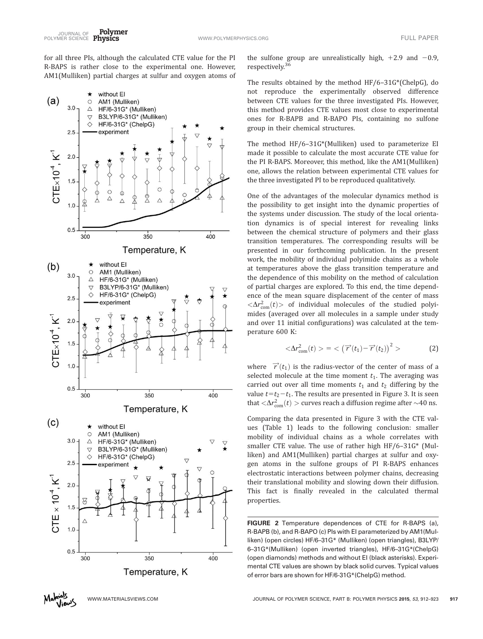for all three PIs, although the calculated CTE value for the PI R-BAPS is rather close to the experimental one. However, AM1(Mulliken) partial charges at sulfur and oxygen atoms of



the sulfone group are unrealistically high,  $+2.9$  and  $-0.9$ , respectively.<sup>36</sup>

The results obtained by the method HF/6–31G\*(ChelpG), do not reproduce the experimentally observed difference between CTE values for the three investigated PIs. However, this method provides CTE values most close to experimental ones for R-BAPB and R-BAPO PIs, containing no sulfone group in their chemical structures.

The method HF/6–31G\*(Mulliken) used to parameterize EI made it possible to calculate the most accurate CTE value for the PI R-BAPS. Moreover, this method, like the AM1(Mulliken) one, allows the relation between experimental CTE values for the three investigated PI to be reproduced qualitatively.

One of the advantages of the molecular dynamics method is the possibility to get insight into the dynamic properties of the systems under discussion. The study of the local orientation dynamics is of special interest for revealing links between the chemical structure of polymers and their glass transition temperatures. The corresponding results will be presented in our forthcoming publication. In the present work, the mobility of individual polyimide chains as a whole at temperatures above the glass transition temperature and the dependence of this mobility on the method of calculation of partial charges are explored. To this end, the time dependence of the mean square displacement of the center of mass  $\langle \Delta r_{\rm com}^2(t)\rangle$  of individual molecules of the studied polyimides (averaged over all molecules in a sample under study and over 11 initial configurations) was calculated at the temperature 600 K:

$$
\langle \Delta r_{\text{com}}^2(t) \rangle = \langle \left( \overrightarrow{r}(t_1) - \overrightarrow{r}(t_2) \right)^2 \rangle \tag{2}
$$

where  $\vec{r}(t_1)$  is the radius-vector of the center of mass of a selected molecule at the time moment  $t_1$ . The averaging was carried out over all time moments  $t_1$  and  $t_2$  differing by the value  $t=t_2-t_1$ . The results are presented in Figure 3. It is seen that  $<\!\!\Delta r_{\rm com}^2(t)>$  curves reach a diffusion regime after  $\sim\!\!40$  ns.

Comparing the data presented in Figure 3 with the CTE values (Table 1) leads to the following conclusion: smaller mobility of individual chains as a whole correlates with smaller CTE value. The use of rather high HF/6–31G\* (Mulliken) and AM1(Mulliken) partial charges at sulfur and oxygen atoms in the sulfone groups of PI R-BAPS enhances electrostatic interactions between polymer chains, decreasing their translational mobility and slowing down their diffusion. This fact is finally revealed in the calculated thermal properties.

FIGURE 2 Temperature dependences of CTE for R-BAPS (a), R-BAPB (b), and R-BAPO (c) PIs with EI parameterized by AM1(Mulliken) (open circles) HF/6–31G\* (Mulliken) (open triangles), B3LYP/ 6–31G\*(Mulliken) (open inverted triangles), HF/6–31G\*(ChelpG) (open diamonds) methods and without EI (black asterisks). Experimental CTE values are shown by black solid curves. Typical values of error bars are shown for HF/6-31G\*(ChelpG) method.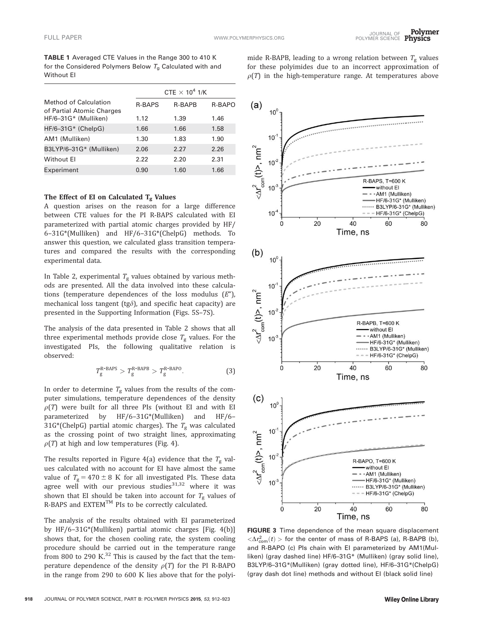TABLE 1 Averaged CTE Values in the Range 300 to 410 K for the Considered Polymers Below  $T_g$  Calculated with and Without EI

|                                                           | CTE $\times$ 10 <sup>4</sup> 1/K |        |        |  |
|-----------------------------------------------------------|----------------------------------|--------|--------|--|
| <b>Method of Calculation</b><br>of Partial Atomic Charges | <b>R-BAPS</b>                    | R-BAPB | R-BAPO |  |
| HF/6-31G* (Mulliken)                                      | 1.12                             | 1.39   | 1.46   |  |
| $HF/6-31G*$ (ChelpG)                                      | 1.66                             | 1.66   | 1.58   |  |
| AM1 (Mulliken)                                            | 1.30                             | 1.83   | 1.90   |  |
| B3LYP/6-31G* (Mulliken)                                   | 2.06                             | 2.27   | 2.26   |  |
| Without El                                                | 2.22                             | 2.20   | 2.31   |  |
| Experiment                                                | 0.90                             | 1.60   | 1.66   |  |

# The Effect of EI on Calculated  $T_g$  Values

A question arises on the reason for a large difference between CTE values for the PI R-BAPS calculated with EI parameterized with partial atomic charges provided by HF/ 6–31G\*(Mulliken) and HF/6–31G\*(ChelpG) methods. To answer this question, we calculated glass transition temperatures and compared the results with the corresponding experimental data.

In Table 2, experimental  $T_g$  values obtained by various methods are presented. All the data involved into these calculations (temperature dependences of the loss modulus  $(E'')$ , mechanical loss tangent (tg $\delta$ ), and specific heat capacity) are presented in the Supporting Information (Figs. 5S–7S).

The analysis of the data presented in Table 2 shows that all three experimental methods provide close  $T_g$  values. For the investigated PIs, the following qualitative relation is observed:

$$
T_g^{\text{R-BAPS}} > T_g^{\text{R-BAPB}} > T_g^{\text{R-BAPO}}.
$$
 (3)

In order to determine  $T_{\rm g}$  values from the results of the computer simulations, temperature dependences of the density  $\rho(T)$  were built for all three PIs (without EI and with EI parameterized by HF/6–31G\*(Mulliken) and HF/6– 31G\*(ChelpG) partial atomic charges). The  $T_g$  was calculated as the crossing point of two straight lines, approximating  $\rho(T)$  at high and low temperatures (Fig. 4).

The results reported in Figure 4(a) evidence that the  $T_{\rm g}$  values calculated with no account for EI have almost the same value of  $T_g = 470 \pm 8$  K for all investigated PIs. These data agree well with our previous studies $31,32$  where it was shown that EI should be taken into account for  $T_{\rm g}$  values of R-BAPS and EXTEM<sup>™</sup> PIs to be correctly calculated.

The analysis of the results obtained with EI parameterized by HF/6–31G\*(Mulliken) partial atomic charges [Fig. 4(b)] shows that, for the chosen cooling rate, the system cooling procedure should be carried out in the temperature range from 800 to 290 K. $^{32}$  This is caused by the fact that the temperature dependence of the density  $\rho(T)$  for the PI R-BAPO in the range from 290 to 600 R lies above that for the polyi-



mide R-BAPB, leading to a wrong relation between  $T_{\rm g}$  values for these polyimides due to an incorrect approximation of  $\rho(T)$  in the high-temperature range. At temperatures above

FIGURE 3 Time dependence of the mean square displacement  $\langle\Delta r_{\rm com}^2(t)>$  for the center of mass of R-BAPS (a), R-BAPB (b), and R-BAPO (c) PIs chain with EI parameterized by AM1(Mulliken) (gray dashed line) HF/6–31G\* (Mulliken) (gray solid line), B3LYP/6–31G\*(Mulliken) (gray dotted line), HF/6–31G\*(ChelpG) (gray dash dot line) methods and without EI (black solid line)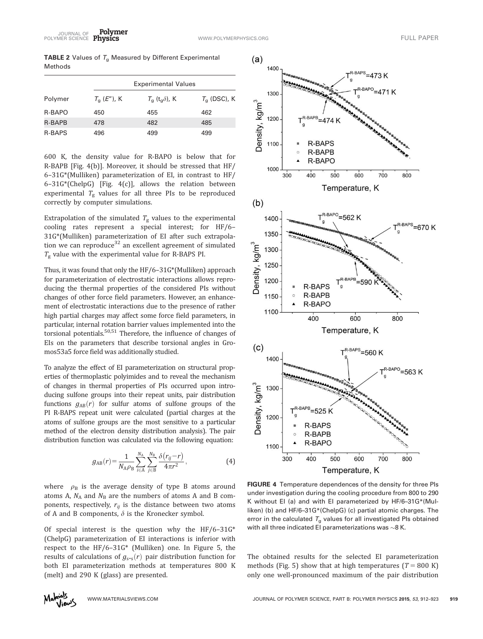**TABLE 2** Values of  $T_g$  Measured by Different Experimental Methods

|               |               | <b>Experimental Values</b> |                |
|---------------|---------------|----------------------------|----------------|
| Polymer       | $T_a$ (E"), K | $T_a(t_a\delta)$ , K       | $T_a$ (DSC), K |
| R-BAPO        | 450           | 455                        | 462            |
| R-BAPB        | 478           | 482                        | 485            |
| <b>R-BAPS</b> | 496           | 499                        | 499            |

600 K, the density value for R-BAPO is below that for R-BAPB [Fig. 4(b)]. Moreover, it should be stressed that HF/ 6–31G\*(Mulliken) parameterization of EI, in contrast to HF/ 6–31G\*(ChelpG) [Fig. 4(c)], allows the relation between experimental  $T_{\rm g}$  values for all three PIs to be reproduced correctly by computer simulations.

Extrapolation of the simulated  $T_g$  values to the experimental cooling rates represent a special interest; for HF/6– 31G\*(Mulliken) parameterization of EI after such extrapolation we can reproduce<sup>32</sup> an excellent agreement of simulated  $T_{\rm g}$  value with the experimental value for R-BAPS PI.

Thus, it was found that only the HF/6–31G\*(Mulliken) approach for parameterization of electrostatic interactions allows reproducing the thermal properties of the considered PIs without changes of other force field parameters. However, an enhancement of electrostatic interactions due to the presence of rather high partial charges may affect some force field parameters, in particular, internal rotation barrier values implemented into the torsional potentials. $50,51$  Therefore, the influence of changes of EIs on the parameters that describe torsional angles in Gromos53a5 force field was additionally studied.

To analyze the effect of EI parameterization on structural properties of thermoplastic polyimides and to reveal the mechanism of changes in thermal properties of PIs occurred upon introducing sulfone groups into their repeat units, pair distribution functions  $g_{AB}(r)$  for sulfur atoms of sulfone groups of the PI R-BAPS repeat unit were calculated (partial charges at the atoms of sulfone groups are the most sensitive to a particular method of the electron density distribution analysis). The pair distribution function was calculated via the following equation:

$$
g_{AB}(r) = \frac{1}{N_A \rho_B} \sum_{i \in A}^{N_A} \sum_{j \in B}^{N_B} \frac{\delta(r_{ij} - r)}{4\pi r^2},
$$
 (4)

where  $\rho_B$  is the average density of type B atoms around atoms A,  $N_A$  and  $N_B$  are the numbers of atoms A and B components, respectively,  $r_{ij}$  is the distance between two atoms of A and B components,  $\delta$  is the Kronecker symbol.

Of special interest is the question why the  $HF/6-31G^*$ (ChelpG) parameterization of EI interactions is inferior with respect to the HF/6–31G\* (Mulliken) one. In Figure 5, the results of calculations of  $g_{s-s}(r)$  pair distribution function for both EI parameterization methods at temperatures 800 K (melt) and 290 K (glass) are presented.



FIGURE 4 Temperature dependences of the density for three PIs under investigation during the cooling procedure from 800 to 290 K without EI (a) and with EI parameterized by HF/6–31G\*(Mulliken) (b) and HF/6–31G\*(ChelpG) (c) partial atomic charges. The error in the calculated  $T_a$  values for all investigated PIs obtained with all three indicated EI parameterizations was  $\sim$ 8 K.

The obtained results for the selected EI parameterization methods (Fig. 5) show that at high temperatures ( $T = 800 \text{ K}$ ) only one well-pronounced maximum of the pair distribution

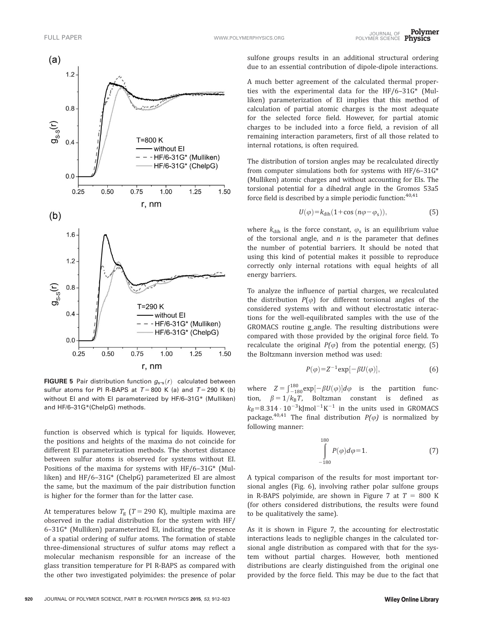

**FIGURE 5** Pair distribution function  $g_{s-s}(r)$  calculated between sulfur atoms for PI R-BAPS at  $T = 800$  K (a) and  $T = 290$  K (b) without EI and with EI parameterized by HF/6–31G\* (Mulliken) and HF/6–31G\*(ChelpG) methods.

function is observed which is typical for liquids. However, the positions and heights of the maxima do not coincide for different EI parameterization methods. The shortest distance between sulfur atoms is observed for systems without EI. Positions of the maxima for systems with HF/6–31G\* (Mulliken) and HF/6–31G\* (ChelpG) parameterized EI are almost the same, but the maximum of the pair distribution function is higher for the former than for the latter case.

At temperatures below  $T_g$  (T = 290 K), multiple maxima are observed in the radial distribution for the system with HF/ 6–31G\* (Mulliken) parameterized EI, indicating the presence of a spatial ordering of sulfur atoms. The formation of stable three-dimensional structures of sulfur atoms may reflect a molecular mechanism responsible for an increase of the glass transition temperature for PI R-BAPS as compared with the other two investigated polyimides: the presence of polar

sulfone groups results in an additional structural ordering due to an essential contribution of dipole-dipole interactions.

A much better agreement of the calculated thermal properties with the experimental data for the HF/6–31G\* (Mulliken) parameterization of EI implies that this method of calculation of partial atomic charges is the most adequate for the selected force field. However, for partial atomic charges to be included into a force field, a revision of all remaining interaction parameters, first of all those related to internal rotations, is often required.

The distribution of torsion angles may be recalculated directly from computer simulations both for systems with HF/6–31G\* (Mulliken) atomic charges and without accounting for EIs. The torsional potential for a dihedral angle in the Gromos 53a5 force field is described by a simple periodic function:  $40,41$ 

$$
U(\varphi) = k_{\text{dih}} (1 + \cos (n\varphi - \varphi_s)), \tag{5}
$$

where  $k_{\text{dih}}$  is the force constant,  $\varphi_{\text{s}}$  is an equilibrium value of the torsional angle, and  $n$  is the parameter that defines the number of potential barriers. It should be noted that using this kind of potential makes it possible to reproduce correctly only internal rotations with equal heights of all energy barriers.

To analyze the influence of partial charges, we recalculated the distribution  $P(\varphi)$  for different torsional angles of the considered systems with and without electrostatic interactions for the well-equilibrated samples with the use of the GROMACS routine g\_angle. The resulting distributions were compared with those provided by the original force field. To recalculate the original  $P(\varphi)$  from the potential energy, (5) the Boltzmann inversion method was used:

$$
P(\varphi) = Z^{-1} \exp[-\beta U(\varphi)],\tag{6}
$$

where  $Z = \int_{-180}^{180} \exp[-\beta U(\varphi)] d\varphi$  is the partition function,  $\beta = 1/k_B T$ , Boltzman constant is defined as  $k_B=8.314 \cdot 10^{-3}$ kJmol<sup>-1</sup>K<sup>-1</sup> in the units used in GROMACS package.<sup>40,41</sup> The final distribution  $P(\varphi)$  is normalized by following manner:

$$
\int_{-180}^{180} P(\varphi) d\varphi = 1.
$$
 (7)

A typical comparison of the results for most important torsional angles (Fig. 6), involving rather polar sulfone groups in R-BAPS polyimide, are shown in Figure 7 at  $T = 800$  K (for others considered distributions, the results were found to be qualitatively the same).

As it is shown in Figure 7, the accounting for electrostatic interactions leads to negligible changes in the calculated torsional angle distribution as compared with that for the system without partial charges. However, both mentioned distributions are clearly distinguished from the original one provided by the force field. This may be due to the fact that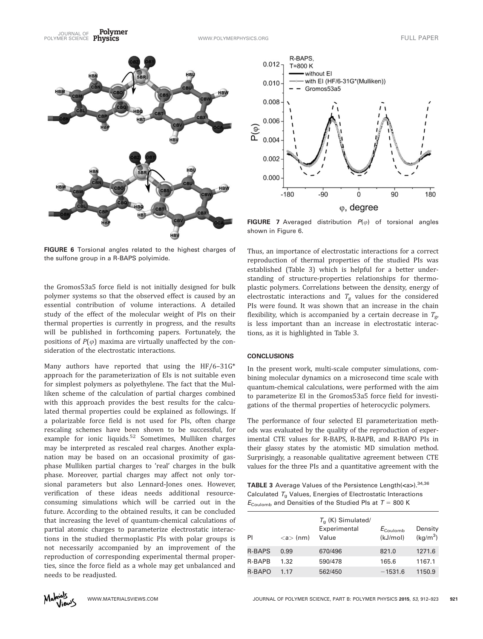Polymer JOURNAL OF TULL PAPER<br>POLYMER SCIENCE Physics The Contract of the Communication of the Contract of the Contract of Tull Paper



FIGURE 6 Torsional angles related to the highest charges of the sulfone group in a R-BAPS polyimide.

the Gromos53a5 force field is not initially designed for bulk polymer systems so that the observed effect is caused by an essential contribution of volume interactions. A detailed study of the effect of the molecular weight of PIs on their thermal properties is currently in progress, and the results will be published in forthcoming papers. Fortunately, the positions of  $P(\varphi)$  maxima are virtually unaffected by the consideration of the electrostatic interactions.

Many authors have reported that using the  $HF/6-31G^*$ approach for the parameterization of EIs is not suitable even for simplest polymers as polyethylene. The fact that the Mulliken scheme of the calculation of partial charges combined with this approach provides the best results for the calculated thermal properties could be explained as followings. If a polarizable force field is not used for PIs, often charge rescaling schemes have been shown to be successful, for example for ionic liquids.<sup>52</sup> Sometimes, Mulliken charges may be interpreted as rescaled real charges. Another explanation may be based on an occasional proximity of gasphase Mulliken partial charges to 'real' charges in the bulk phase. Moreover, partial charges may affect not only torsional parameters but also Lennard-Jones ones. However, verification of these ideas needs additional resourceconsuming simulations which will be carried out in the future. According to the obtained results, it can be concluded that increasing the level of quantum-chemical calculations of partial atomic charges to parameterize electrostatic interactions in the studied thermoplastic PIs with polar groups is not necessarily accompanied by an improvement of the reproduction of corresponding experimental thermal properties, since the force field as a whole may get unbalanced and needs to be readjusted.



**FIGURE 7** Averaged distribution  $P(\varphi)$  of torsional angles shown in Figure 6.

Thus, an importance of electrostatic interactions for a correct reproduction of thermal properties of the studied PIs was established (Table 3) which is helpful for a better understanding of structure-properties relationships for thermoplastic polymers. Correlations between the density, energy of electrostatic interactions and  $T_{\rm g}$  values for the considered PIs were found. It was shown that an increase in the chain flexibility, which is accompanied by a certain decrease in  $T_{\rm g}$ , is less important than an increase in electrostatic interactions, as it is highlighted in Table 3.

# **CONCLUSIONS**

In the present work, multi-scale computer simulations, combining molecular dynamics on a microsecond time scale with quantum-chemical calculations, were performed with the aim to parameterize EI in the Gromos53a5 force field for investigations of the thermal properties of heterocyclic polymers.

The performance of four selected EI parameterization methods was evaluated by the quality of the reproduction of experimental CTE values for R-BAPS, R-BAPB, and R-BAPO PIs in their glassy states by the atomistic MD simulation method. Surprisingly, a reasonable qualitative agreement between CTE values for the three PIs and a quantitative agreement with the

**TABLE 3** Average Values of the Persistence Length( $\langle$ a>).<sup>34,36</sup> Calculated  $T_{q}$  Values, Energies of Electrostatic Interactions  $E_{\text{Coulomb}}$  and Densities of the Studied PIs at  $T = 800$  K

| PI            | $\langle a \rangle$ (nm) | $T_a$ (K) Simulated/<br>Experimental<br>Value | $E_{\text{Coulomb}}$<br>(kJ/mol) | Density<br>(kg/m <sup>3</sup> ) |
|---------------|--------------------------|-----------------------------------------------|----------------------------------|---------------------------------|
| <b>R-BAPS</b> | 0.99                     | 670/496                                       | 821.0                            | 1271.6                          |
| <b>R-BAPB</b> | 1.32                     | 590/478                                       | 165.6                            | 1167.1                          |
| <b>R-BAPO</b> | 1.17                     | 562/450                                       | $-1531.6$                        | 1150.9                          |

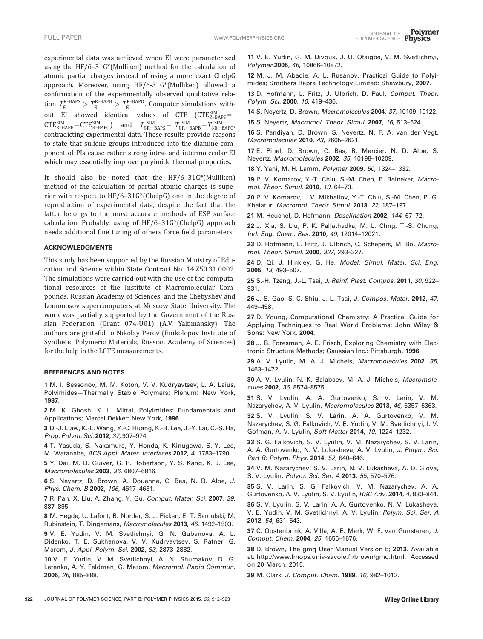experimental data was achieved when EI were parameterized using the HF/6–31G\*(Mulliken) method for the calculation of atomic partial charges instead of using a more exact ChelpG approach. Moreover, using HF/6-31G\*(Mulliken) allowed a confirmation of the experimentally observed qualitative relation  $T_g^{\text{R-BAPS}} > T_g^{\text{R-BAPB}} > T_g^{\text{R-BAPO}}$ . Computer simulations without EI showed identical values of  $CTE$   $(CTE_{R-BAPS}^{SIM} =$  $CTE_{R-BAPB}^{SIM} = CTE_{R-BAPO}^{SIM}$  and  $T_{gR-BAPS}^{SIM} = T_{gR-BAPB}^{SIM} = T_{gR-BAPO}^{SIM}$ contradicting experimental data. These results provide reasons to state that sulfone groups introduced into the diamine component of PIs cause rather strong intra- and intermolecular EI which may essentially improve polyimide thermal properties.

It should also be noted that the HF/6–31G\*(Mulliken) method of the calculation of partial atomic charges is superior with respect to HF/6–31G\*(ChelpG) one in the degree of reproduction of experimental data, despite the fact that the latter belongs to the most accurate methods of ESP surface calculation. Probably, using of HF/6–31G\*(ChelpG) approach needs additional fine tuning of others force field parameters.

### ACKNOWLEDGMENTS

This study has been supported by the Russian Ministry of Education and Science within State Contract No. 14.Z50.31.0002. The simulations were carried out with the use of the computational resources of the Institute of Macromolecular Compounds, Russian Academy of Sciences, and the Chebyshev and Lomonosov supercomputers at Moscow State University. The work was partially supported by the Government of the Russian Federation (Grant 074-U01) (A.V. Yakimansky). The authors are grateful to Nikolay Perov (Enikolopov Institute of Synthetic Polymeric Materials, Russian Academy of Sciences) for the help in the LCTE measurements.

#### REFERENCES AND NOTES

1 M. I. Bessonov, M. M. Koton, V. V. Kudryavtsev, L. A. Laius, Polyimides—Thermally Stable Polymers; Plenum: New York, 1987.

2 M. K. Ghosh, K. L. Mittal, Polyimides: Fundamentals and Applications; Marcel Dekker: New York, 1996.

3 D.-J. Liaw, K.-L. Wang, Y.-C. Huang, K.-R. Lee, J.-Y. Lai, C.-S. Ha, Prog. Polym. Sci. 2012, 37, 907–974.

4 T. Yasuda, S. Nakamura, Y. Honda, K. Kinugawa, S.-Y. Lee, M. Watanabe, ACS Appl. Mater. Interfaces 2012, 4, 1783–1790.

5 Y. Dai, M. D. Guiver, G. P. Robertson, Y. S. Kang, K. J. Lee, Macromolecules 2003, 36, 6807–6816.

6 S. Neyertz, D. Brown, A. Douanne, C. Bas, N. D. Albe, J. Phys. Chem. B 2002, 106, 4617–4631.

7 R. Pan, X. Liu, A. Zhang, Y. Gu, Comput. Mater. Sci. 2007, 39, 887–895.

8 M. Hegde, U. Lafont, B. Norder, S. J. Picken, E. T. Samulski, M. Rubinstein, T. Dingemans, Macromolecules 2013, 46, 1492–1503.

9 V. E. Yudin, V. M. Svetlichnyi, G. N. Gubanova, A. L. Didenko, T. E. Sukhanova, V. V. Kudryavtsev, S. Ratner, G. Marom, J. Appl. Polym. Sci. 2002, 83, 2873–2882.

10 V. E. Yudin, V. M. Svetlichnyi, A. N. Shumakov, D. G. Letenko, A. Y. Feldman, G. Marom, Macromol. Rapid Commun. 2005, 26, 885–888.

11 V. E. Yudin, G. M. Divoux, J. U. Otaigbe, V. M. Svetlichnyi, Polymer 2005, 46, 10866-10872.

12 M. J. M. Abadie, A. L. Rusanov, Practical Guide to Polyimides; Smithers Rapra Technology Limited: Shawbury, 2007.

13 D. Hofmann, L. Fritz, J. Ulbrich, D. Paul, Comput. Theor. Polym. Sci. 2000, 10, 419-436.

14 S. Neyertz, D. Brown, Macromolecules 2004, 37, 10109-10122.

15 S. Neyertz, Macromol. Theor. Simul. 2007, 16, 513–524.

16 S. Pandiyan, D. Brown, S. Neyertz, N. F. A. van der Vegt, Macromolecules 2010, 43, 2605–2621.

17 E. Pinel, D. Brown, C. Bas, R. Mercier, N. D. Albe, S. Neyertz, Macromolecules 2002, 35, 10198–10209.

18 Y. Yani, M. H. Lamm, Polymer 2009, 50, 1324-1332.

19 P. V. Komarov, Y.-T. Chiu, S.-M. Chen, P. Reineker, Macromol. Theor. Simul. 2010, 19, 64–73.

20 P. V. Komarov, I. V. Mikhailov, Y.-T. Chiu, S.-M. Chen, P. G. Khalatur, Macromol. Theor. Simul. 2013, 22, 187–197.

21 M. Heuchel, D. Hofmann, Desalination 2002, 144, 67–72.

22 J. Xia, S. Liu, P. K. Pallathadka, M. L. Chng, T.-S. Chung, Ind. Eng. Chem. Res. 2010, 49, 12014–12021.

23 D. Hofmann, L. Fritz, J. Ulbrich, C. Schepers, M. Bo, Macromol. Theor. Simul. 2000, 327, 293–327.

24 D. Qi, J. Hinkley, G. He, Model. Simul. Mater. Sci. Eng. 2005, 13, 493–507.

25 S.-H. Tzeng, J.-L. Tsai, J. Reinf. Plast. Compos. 2011, 30, 922– 931.

26 J.-S. Gao, S.-C. Shiu, J.-L. Tsai, J. Compos. Mater. 2012, 47, 449–458.

27 D. Young, Computational Chemistry: A Practical Guide for Applying Techniques to Real World Problems; John Wiley & Sons: New York, 2004.

28 J. B. Foresman, A. E. Frisch, Exploring Chemistry with Electronic Structure Methods; Gaussian Inc.: Pittsburgh, 1996.

29 A. V. Lyulin, M. A. J. Michels, Macromolecules 2002, 35, 1463–1472.

30 A. V. Lyulin, N. K. Balabaev, M. A. J. Michels, Macromolecules 2002, 36, 8574–8575.

31 S. V. Lyulin, A. A. Gurtovenko, S. V. Larin, V. M. Nazarychev, A. V. Lyulin, Macromolecules 2013, 46, 6357–6363.

32 S. V. Lyulin, S. V. Larin, A. A. Gurtovenko, V. M. Nazarychev, S. G. Falkovich, V. E. Yudin, V. M. Svetlichnyi, I. V. Gofman, A. V. Lyulin, Soft Matter 2014, 10, 1224-1232.

33 S. G. Falkovich, S. V. Lyulin, V. M. Nazarychev, S. V. Larin, A. A. Gurtovenko, N. V. Lukasheva, A. V. Lyulin, J. Polym. Sci. Part B: Polym. Phys. 2014, 52, 640-646.

34 V. M. Nazarychev, S. V. Larin, N. V. Lukasheva, A. D. Glova, S. V. Lyulin, Polym. Sci. Ser. A 2013, 55, 570–576.

35 S. V. Larin, S. G. Falkovich, V. M. Nazarychev, A. A. Gurtovenko, A. V. Lyulin, S. V. Lyulin, RSC Adv. 2014, 4, 830–844.

36 S. V. Lyulin, S. V. Larin, A. A. Gurtovenko, N. V. Lukasheva, V. E. Yudin, V. M. Svetlichnyi, A. V. Lyulin, Polym. Sci. Ser. A 2012, 54, 631–643.

37 C. Oostenbrink, A. Villa, A. E. Mark, W. F. van Gunsteren, J. Comput. Chem. 2004, 25, 1656–1676.

38 D. Brown, The gmq User Manual Version 5; 2013. Available at: [http://www.lmops.univ-savoie.fr/brown/gmq.html.](http://www.lmops.univ-savoie.fr/brown/gmq.html) Accessed on 20 March, 2015.

39 M. Clark, J. Comput. Chem. 1989, 10, 982-1012.